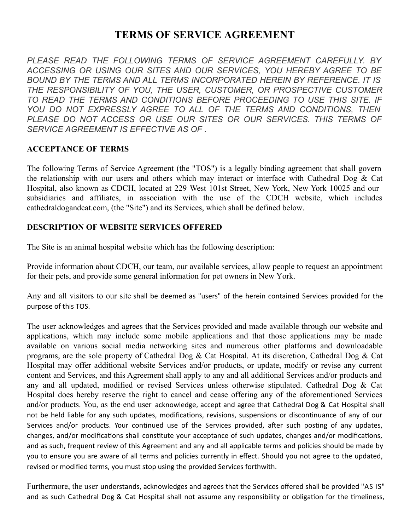# **TERMS OF SERVICE AGREEMENT**

*PLEASE READ THE FOLLOWING TERMS OF SERVICE AGREEMENT CAREFULLY. BY ACCESSING OR USING OUR SITES AND OUR SERVICES, YOU HEREBY AGREE TO BE BOUND BY THE TERMS AND ALL TERMS INCORPORATED HEREIN BY REFERENCE. IT IS THE RESPONSIBILITY OF YOU, THE USER, CUSTOMER, OR PROSPECTIVE CUSTOMER TO READ THE TERMS AND CONDITIONS BEFORE PROCEEDING TO USE THIS SITE. IF YOU DO NOT EXPRESSLY AGREE TO ALL OF THE TERMS AND CONDITIONS, THEN PLEASE DO NOT ACCESS OR USE OUR SITES OR OUR SERVICES. THIS TERMS OF SERVICE AGREEMENT IS EFFECTIVE AS OF .*

#### **ACCEPTANCE OF TERMS**

The following Terms of Service Agreement (the "TOS") is a legally binding agreement that shall govern the relationship with our users and others which may interact or interface with Cathedral Dog & Cat Hospital, also known as CDCH, located at 229 West 101st Street, New York, New York 10025 and our subsidiaries and affiliates, in association with the use of the CDCH website, which includes cathedraldogandcat.com, (the "Site") and its Services, which shall be defined below.

#### **DESCRIPTION OF WEBSITE SERVICES OFFERED**

The Site is an animal hospital website which has the following description:

Provide information about CDCH, our team, our available services, allow people to request an appointment for their pets, and provide some general information for pet owners in New York.

Any and all visitors to our site shall be deemed as "users" of the herein contained Services provided for the purpose of this TOS.

The user acknowledges and agrees that the Services provided and made available through our website and applications, which may include some mobile applications and that those applications may be made available on various social media networking sites and numerous other platforms and downloadable programs, are the sole property of Cathedral Dog & Cat Hospital. At its discretion, Cathedral Dog & Cat Hospital may offer additional website Services and/or products, or update, modify or revise any current content and Services, and this Agreement shall apply to any and all additional Services and/or products and any and all updated, modified or revised Services unless otherwise stipulated. Cathedral Dog & Cat Hospital does hereby reserve the right to cancel and cease offering any of the aforementioned Services and/or products. You, as the end user acknowledge, accept and agree that Cathedral Dog & Cat Hospital shall not be held liable for any such updates, modifications, revisions, suspensions or discontinuance of any of our Services and/or products. Your continued use of the Services provided, after such posting of any updates, changes, and/or modifications shall constitute your acceptance of such updates, changes and/or modifications, and as such, frequent review of this Agreement and any and all applicable terms and policies should be made by you to ensure you are aware of all terms and policies currently in effect. Should you not agree to the updated, revised or modified terms, you must stop using the provided Services forthwith.

Furthermore, the user understands, acknowledges and agrees that the Services offered shall be provided "AS IS" and as such Cathedral Dog & Cat Hospital shall not assume any responsibility or obligation for the timeliness,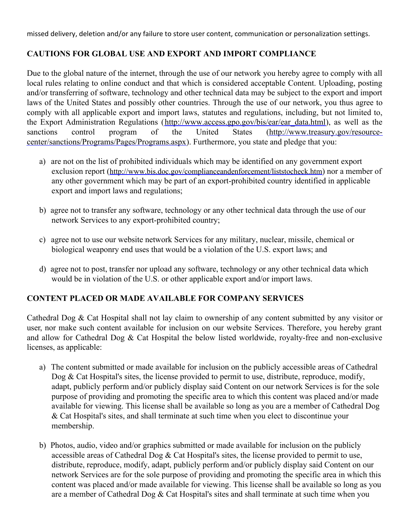missed delivery, deletion and/or any failure to store user content, communication or personalization settings.

# **CAUTIONS FOR GLOBAL USE AND EXPORT AND IMPORT COMPLIANCE**

Due to the global nature of the internet, through the use of our network you hereby agree to comply with all local rules relating to online conduct and that which is considered acceptable Content. Uploading, posting and/or transferring of software, technology and other technical data may be subject to the export and import laws of the United States and possibly other countries. Through the use of our network, you thus agree to comply with all applicable export and import laws, statutes and regulations, including, but not limited to, the Export Administration Regulations [\(http://www.access.gpo.gov/bis/ear/ear\\_data.html](http://www.access.gpo.gov/bis/ear/ear_data.html)), as well as the sanctions control program of the United States (http://www.treasury.gov/resource[center/sanctions/Programs/Pages/Programs.aspx\).](http://www.treasury.gov/resource-center/sanctions/Programs/Pages/Programs.aspx) Furthermore, you state and pledge that you:

- a) are not on the list of prohibited individuals which may be identified on any government export exclusion report (<http://www.bis.doc.gov/complianceandenforcement/liststocheck.htm>) nor a member of any other government which may be part of an export-prohibited country identified in applicable export and import laws and regulations;
- b) agree not to transfer any software, technology or any other technical data through the use of our network Services to any export-prohibited country;
- c) agree not to use our website network Services for any military, nuclear, missile, chemical or biological weaponry end uses that would be a violation of the U.S. export laws; and
- d) agree not to post, transfer nor upload any software, technology or any other technical data which would be in violation of the U.S. or other applicable export and/or import laws.

# **CONTENT PLACED OR MADE AVAILABLE FOR COMPANY SERVICES**

Cathedral Dog & Cat Hospital shall not lay claim to ownership of any content submitted by any visitor or user, nor make such content available for inclusion on our website Services. Therefore, you hereby grant and allow for Cathedral Dog & Cat Hospital the below listed worldwide, royalty-free and non-exclusive licenses, as applicable:

- a) The content submitted or made available for inclusion on the publicly accessible areas of Cathedral Dog & Cat Hospital's sites, the license provided to permit to use, distribute, reproduce, modify, adapt, publicly perform and/or publicly display said Content on our network Services is for the sole purpose of providing and promoting the specific area to which this content was placed and/or made available for viewing. This license shall be available so long as you are a member of Cathedral Dog & Cat Hospital's sites, and shall terminate at such time when you elect to discontinue your membership.
- b) Photos, audio, video and/or graphics submitted or made available for inclusion on the publicly accessible areas of Cathedral Dog & Cat Hospital's sites, the license provided to permit to use, distribute, reproduce, modify, adapt, publicly perform and/or publicly display said Content on our network Services are for the sole purpose of providing and promoting the specific area in which this content was placed and/or made available for viewing. This license shall be available so long as you are a member of Cathedral Dog  $& Cat$  Hospital's sites and shall terminate at such time when you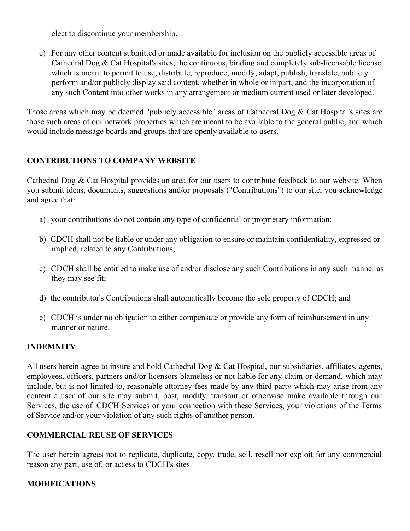elect to discontinue your membership.

c) For any other content submitted or made available for inclusion on the publicly accessible areas of Cathedral Dog & Cat Hospital's sites, the continuous, binding and completely sub-licensable license which is meant to permit to use, distribute, reproduce, modify, adapt, publish, translate, publicly perform and/or publicly display said content, whether in whole or in part, and the incorporation of any such Content into other works in any arrangement or medium current used or later developed.

Those areas which may be deemed "publicly accessible" areas of Cathedral Dog & Cat Hospital's sites are those such areas of our network properties which are meant to be available to the general public, and which would include message boards and groups that are openly available to users.

# **CONTRIBUTIONS TO COMPANY WEBSITE**

Cathedral Dog & Cat Hospital provides an area for our users to contribute feedback to our website. When you submit ideas, documents, suggestions and/or proposals ("Contributions") to our site, you acknowledge and agree that:

- a) your contributions do not contain any type of confidential or proprietary information;
- b) CDCH shall not be liable or under any obligation to ensure or maintain confidentiality, expressed or implied, related to any Contributions;
- c) CDCH shall be entitled to make use of and/or disclose any such Contributions in any such manner as they may see fit;
- d) the contributor's Contributions shall automatically become the sole property of CDCH; and
- e) CDCH is under no obligation to either compensate or provide any form of reimbursement in any manner or nature.

# **INDEMNITY**

All users herein agree to insure and hold Cathedral Dog & Cat Hospital, our subsidiaries, affiliates, agents, employees, officers, partners and/or licensors blameless or not liable for any claim or demand, which may include, but is not limited to, reasonable attorney fees made by any third party which may arise from any content a user of our site may submit, post, modify, transmit or otherwise make available through our Services, the use of CDCH Services or your connection with these Services, your violations of the Terms of Service and/or your violation of any such rights of another person.

# **COMMERCIAL REUSE OF SERVICES**

The user herein agrees not to replicate, duplicate, copy, trade, sell, resell nor exploit for any commercial reason any part, use of, or access to CDCH's sites.

# **MODIFICATIONS**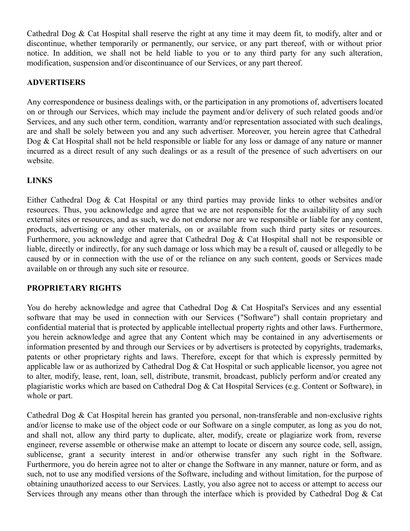Cathedral Dog & Cat Hospital shall reserve the right at any time it may deem fit, to modify, alter and or discontinue, whether temporarily or permanently, our service, or any part thereof, with or without prior notice. In addition, we shall not be held liable to you or to any third party for any such alteration, modification, suspension and/or discontinuance of our Services, or any part thereof.

#### **ADVERTISERS**

Any correspondence or business dealings with, or the participation in any promotions of, advertisers located on or through our Services, which may include the payment and/or delivery of such related goods and/or Services, and any such other term, condition, warranty and/or representation associated with such dealings, are and shall be solely between you and any such advertiser. Moreover, you herein agree that Cathedral Dog & Cat Hospital shall not be held responsible or liable for any loss or damage of any nature or manner incurred as a direct result of any such dealings or as a result of the presence of such advertisers on our website.

# **LINKS**

Either Cathedral Dog & Cat Hospital or any third parties may provide links to other websites and/or resources. Thus, you acknowledge and agree that we are not responsible for the availability of any such external sites or resources, and as such, we do not endorse nor are we responsible or liable for any content, products, advertising or any other materials, on or available from such third party sites or resources. Furthermore, you acknowledge and agree that Cathedral Dog & Cat Hospital shall not be responsible or liable, directly or indirectly, for any such damage or loss which may be a result of, caused or allegedly to be caused by or in connection with the use of or the reliance on any such content, goods or Services made available on or through any such site or resource.

# **PROPRIETARY RIGHTS**

You do hereby acknowledge and agree that Cathedral Dog & Cat Hospital's Services and any essential software that may be used in connection with our Services ("Software") shall contain proprietary and confidential material that is protected by applicable intellectual property rights and other laws. Furthermore, you herein acknowledge and agree that any Content which may be contained in any advertisements or information presented by and through our Services or by advertisers is protected by copyrights, trademarks, patents or other proprietary rights and laws. Therefore, except for that which is expressly permitted by applicable law or as authorized by Cathedral Dog & Cat Hospital or such applicable licensor, you agree not to alter, modify, lease, rent, loan, sell, distribute, transmit, broadcast, publicly perform and/or created any plagiaristic works which are based on Cathedral Dog & Cat Hospital Services (e.g. Content or Software), in whole or part.

Cathedral Dog & Cat Hospital herein has granted you personal, non-transferable and non-exclusive rights and/or license to make use of the object code or our Software on a single computer, as long as you do not, and shall not, allow any third party to duplicate, alter, modify, create or plagiarize work from, reverse engineer, reverse assemble or otherwise make an attempt to locate or discern any source code, sell, assign, sublicense, grant a security interest in and/or otherwise transfer any such right in the Software. Furthermore, you do herein agree not to alter or change the Software in any manner, nature or form, and as such, not to use any modified versions of the Software, including and without limitation, for the purpose of obtaining unauthorized access to our Services. Lastly, you also agree not to access or attempt to access our Services through any means other than through the interface which is provided by Cathedral Dog & Cat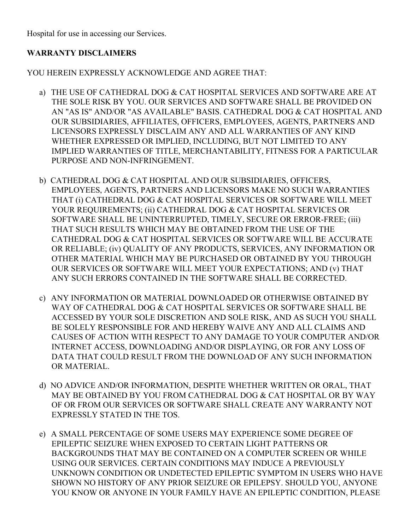Hospital for use in accessing our Services.

# **WARRANTY DISCLAIMERS**

YOU HEREIN EXPRESSLY ACKNOWLEDGE AND AGREE THAT:

- a) THE USE OF CATHEDRAL DOG & CAT HOSPITAL SERVICES AND SOFTWARE ARE AT THE SOLE RISK BY YOU. OUR SERVICES AND SOFTWARE SHALL BE PROVIDED ON AN "AS IS" AND/OR "AS AVAILABLE" BASIS. CATHEDRAL DOG & CAT HOSPITAL AND OUR SUBSIDIARIES, AFFILIATES, OFFICERS, EMPLOYEES, AGENTS, PARTNERS AND LICENSORS EXPRESSLY DISCLAIM ANY AND ALL WARRANTIES OF ANY KIND WHETHER EXPRESSED OR IMPLIED, INCLUDING, BUT NOT LIMITED TO ANY IMPLIED WARRANTIES OF TITLE, MERCHANTABILITY, FITNESS FOR A PARTICULAR PURPOSE AND NON-INFRINGEMENT.
- b) CATHEDRAL DOG & CAT HOSPITAL AND OUR SUBSIDIARIES, OFFICERS, EMPLOYEES, AGENTS, PARTNERS AND LICENSORS MAKE NO SUCH WARRANTIES THAT (i) CATHEDRAL DOG & CAT HOSPITAL SERVICES OR SOFTWARE WILL MEET YOUR REQUIREMENTS; (ii) CATHEDRAL DOG & CAT HOSPITAL SERVICES OR SOFTWARE SHALL BE UNINTERRUPTED, TIMELY, SECURE OR ERROR-FREE; (iii) THAT SUCH RESULTS WHICH MAY BE OBTAINED FROM THE USE OF THE CATHEDRAL DOG & CAT HOSPITAL SERVICES OR SOFTWARE WILL BE ACCURATE OR RELIABLE; (iv) QUALITY OF ANY PRODUCTS, SERVICES, ANY INFORMATION OR OTHER MATERIAL WHICH MAY BE PURCHASED OR OBTAINED BY YOU THROUGH OUR SERVICES OR SOFTWARE WILL MEET YOUR EXPECTATIONS; AND (v) THAT ANY SUCH ERRORS CONTAINED IN THE SOFTWARE SHALL BE CORRECTED.
- c) ANY INFORMATION OR MATERIAL DOWNLOADED OR OTHERWISE OBTAINED BY WAY OF CATHEDRAL DOG & CAT HOSPITAL SERVICES OR SOFTWARE SHALL BE ACCESSED BY YOUR SOLE DISCRETION AND SOLE RISK, AND AS SUCH YOU SHALL BE SOLELY RESPONSIBLE FOR AND HEREBY WAIVE ANY AND ALL CLAIMS AND CAUSES OF ACTION WITH RESPECT TO ANY DAMAGE TO YOUR COMPUTER AND/OR INTERNET ACCESS, DOWNLOADING AND/OR DISPLAYING, OR FOR ANY LOSS OF DATA THAT COULD RESULT FROM THE DOWNLOAD OF ANY SUCH INFORMATION OR MATERIAL.
- d) NO ADVICE AND/OR INFORMATION, DESPITE WHETHER WRITTEN OR ORAL, THAT MAY BE OBTAINED BY YOU FROM CATHEDRAL DOG & CAT HOSPITAL OR BY WAY OF OR FROM OUR SERVICES OR SOFTWARE SHALL CREATE ANY WARRANTY NOT EXPRESSLY STATED IN THE TOS.
- e) A SMALL PERCENTAGE OF SOME USERS MAY EXPERIENCE SOME DEGREE OF EPILEPTIC SEIZURE WHEN EXPOSED TO CERTAIN LIGHT PATTERNS OR BACKGROUNDS THAT MAY BE CONTAINED ON A COMPUTER SCREEN OR WHILE USING OUR SERVICES. CERTAIN CONDITIONS MAY INDUCE A PREVIOUSLY UNKNOWN CONDITION OR UNDETECTED EPILEPTIC SYMPTOM IN USERS WHO HAVE SHOWN NO HISTORY OF ANY PRIOR SEIZURE OR EPILEPSY. SHOULD YOU, ANYONE YOU KNOW OR ANYONE IN YOUR FAMILY HAVE AN EPILEPTIC CONDITION, PLEASE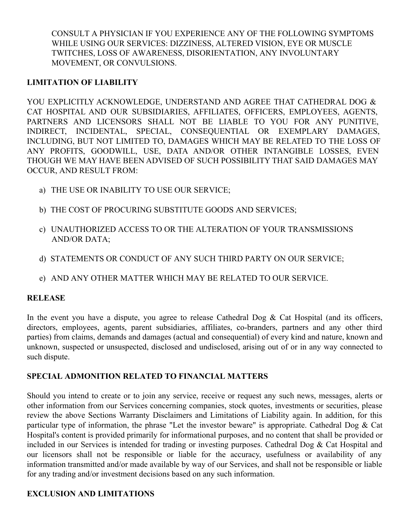CONSULT A PHYSICIAN IF YOU EXPERIENCE ANY OF THE FOLLOWING SYMPTOMS WHILE USING OUR SERVICES: DIZZINESS, ALTERED VISION, EYE OR MUSCLE TWITCHES, LOSS OF AWARENESS, DISORIENTATION, ANY INVOLUNTARY MOVEMENT, OR CONVULSIONS.

#### **LIMITATION OF LIABILITY**

YOU EXPLICITLY ACKNOWLEDGE, UNDERSTAND AND AGREE THAT CATHEDRAL DOG & CAT HOSPITAL AND OUR SUBSIDIARIES, AFFILIATES, OFFICERS, EMPLOYEES, AGENTS, PARTNERS AND LICENSORS SHALL NOT BE LIABLE TO YOU FOR ANY PUNITIVE, INDIRECT, INCIDENTAL, SPECIAL, CONSEQUENTIAL OR EXEMPLARY DAMAGES, INCLUDING, BUT NOT LIMITED TO, DAMAGES WHICH MAY BE RELATED TO THE LOSS OF ANY PROFITS, GOODWILL, USE, DATA AND/OR OTHER INTANGIBLE LOSSES, EVEN THOUGH WE MAY HAVE BEEN ADVISED OF SUCH POSSIBILITY THAT SAID DAMAGES MAY OCCUR, AND RESULT FROM:

- a) THE USE OR INABILITY TO USE OUR SERVICE;
- b) THE COST OF PROCURING SUBSTITUTE GOODS AND SERVICES;
- c) UNAUTHORIZED ACCESS TO OR THE ALTERATION OF YOUR TRANSMISSIONS AND/OR DATA;
- d) STATEMENTS OR CONDUCT OF ANY SUCH THIRD PARTY ON OUR SERVICE;
- e) AND ANY OTHER MATTER WHICH MAY BE RELATED TO OUR SERVICE.

#### **RELEASE**

In the event you have a dispute, you agree to release Cathedral Dog & Cat Hospital (and its officers, directors, employees, agents, parent subsidiaries, affiliates, co-branders, partners and any other third parties) from claims, demands and damages (actual and consequential) of every kind and nature, known and unknown, suspected or unsuspected, disclosed and undisclosed, arising out of or in any way connected to such dispute.

# **SPECIAL ADMONITION RELATED TO FINANCIAL MATTERS**

Should you intend to create or to join any service, receive or request any such news, messages, alerts or other information from our Services concerning companies, stock quotes, investments or securities, please review the above Sections Warranty Disclaimers and Limitations of Liability again. In addition, for this particular type of information, the phrase "Let the investor beware" is appropriate. Cathedral Dog & Cat Hospital's content is provided primarily for informational purposes, and no content that shall be provided or included in our Services is intended for trading or investing purposes. Cathedral Dog & Cat Hospital and our licensors shall not be responsible or liable for the accuracy, usefulness or availability of any information transmitted and/or made available by way of our Services, and shall not be responsible or liable for any trading and/or investment decisions based on any such information.

# **EXCLUSION AND LIMITATIONS**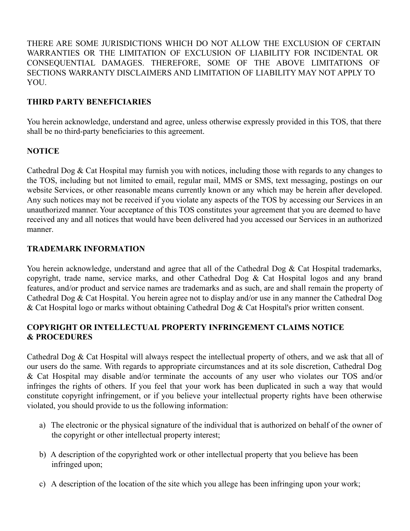THERE ARE SOME JURISDICTIONS WHICH DO NOT ALLOW THE EXCLUSION OF CERTAIN WARRANTIES OR THE LIMITATION OF EXCLUSION OF LIABILITY FOR INCIDENTAL OR CONSEQUENTIAL DAMAGES. THEREFORE, SOME OF THE ABOVE LIMITATIONS OF SECTIONS WARRANTY DISCLAIMERS AND LIMITATION OF LIABILITY MAY NOT APPLY TO **YOU.** 

#### **THIRD PARTY BENEFICIARIES**

You herein acknowledge, understand and agree, unless otherwise expressly provided in this TOS, that there shall be no third-party beneficiaries to this agreement.

#### **NOTICE**

Cathedral Dog & Cat Hospital may furnish you with notices, including those with regards to any changes to the TOS, including but not limited to email, regular mail, MMS or SMS, text messaging, postings on our website Services, or other reasonable means currently known or any which may be herein after developed. Any such notices may not be received if you violate any aspects of the TOS by accessing our Services in an unauthorized manner. Your acceptance of this TOS constitutes your agreement that you are deemed to have received any and all notices that would have been delivered had you accessed our Services in an authorized manner.

#### **TRADEMARK INFORMATION**

You herein acknowledge, understand and agree that all of the Cathedral Dog & Cat Hospital trademarks, copyright, trade name, service marks, and other Cathedral Dog & Cat Hospital logos and any brand features, and/or product and service names are trademarks and as such, are and shall remain the property of Cathedral Dog & Cat Hospital. You herein agree not to display and/or use in any manner the Cathedral Dog & Cat Hospital logo or marks without obtaining Cathedral Dog & Cat Hospital's prior written consent.

# **COPYRIGHT OR INTELLECTUAL PROPERTY INFRINGEMENT CLAIMS NOTICE & PROCEDURES**

Cathedral Dog & Cat Hospital will always respect the intellectual property of others, and we ask that all of our users do the same. With regards to appropriate circumstances and at its sole discretion, Cathedral Dog & Cat Hospital may disable and/or terminate the accounts of any user who violates our TOS and/or infringes the rights of others. If you feel that your work has been duplicated in such a way that would constitute copyright infringement, or if you believe your intellectual property rights have been otherwise violated, you should provide to us the following information:

- a) The electronic or the physical signature of the individual that is authorized on behalf of the owner of the copyright or other intellectual property interest;
- b) A description of the copyrighted work or other intellectual property that you believe has been infringed upon;
- c) A description of the location of the site which you allege has been infringing upon your work;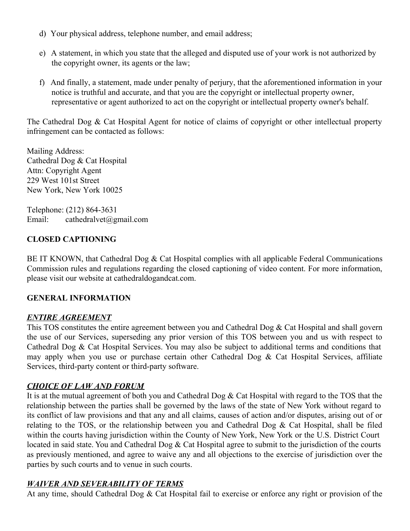- d) Your physical address, telephone number, and email address;
- e) A statement, in which you state that the alleged and disputed use of your work is not authorized by the copyright owner, its agents or the law;
- f) And finally, a statement, made under penalty of perjury, that the aforementioned information in your notice is truthful and accurate, and that you are the copyright or intellectual property owner, representative or agent authorized to act on the copyright or intellectual property owner's behalf.

The Cathedral Dog & Cat Hospital Agent for notice of claims of copyright or other intellectual property infringement can be contacted as follows:

Mailing Address: Cathedral Dog & Cat Hospital Attn: Copyright Agent 229 West 101st Street New York, New York 10025

Telephone: (212) 864-3631 Email: cathedralvet@gmail.com

# **CLOSED CAPTIONING**

BE IT KNOWN, that Cathedral Dog & Cat Hospital complies with all applicable Federal Communications Commission rules and regulations regarding the closed captioning of video content. For more information, please visit our website at cathedraldogandcat.com.

# **GENERAL INFORMATION**

# *ENTIRE AGREEMENT*

This TOS constitutes the entire agreement between you and Cathedral Dog & Cat Hospital and shall govern the use of our Services, superseding any prior version of this TOS between you and us with respect to Cathedral Dog & Cat Hospital Services. You may also be subject to additional terms and conditions that may apply when you use or purchase certain other Cathedral Dog & Cat Hospital Services, affiliate Services, third-party content or third-party software.

# *CHOICE OF LAW AND FORUM*

It is at the mutual agreement of both you and Cathedral Dog & Cat Hospital with regard to the TOS that the relationship between the parties shall be governed by the laws of the state of New York without regard to its conflict of law provisions and that any and all claims, causes of action and/or disputes, arising out of or relating to the TOS, or the relationship between you and Cathedral Dog & Cat Hospital, shall be filed within the courts having jurisdiction within the County of New York, New York or the U.S. District Court located in said state. You and Cathedral Dog & Cat Hospital agree to submit to the jurisdiction of the courts as previously mentioned, and agree to waive any and all objections to the exercise of jurisdiction over the parties by such courts and to venue in such courts.

# *WAIVER AND SEVERABILITY OF TERMS*

At any time, should Cathedral Dog & Cat Hospital fail to exercise or enforce any right or provision of the